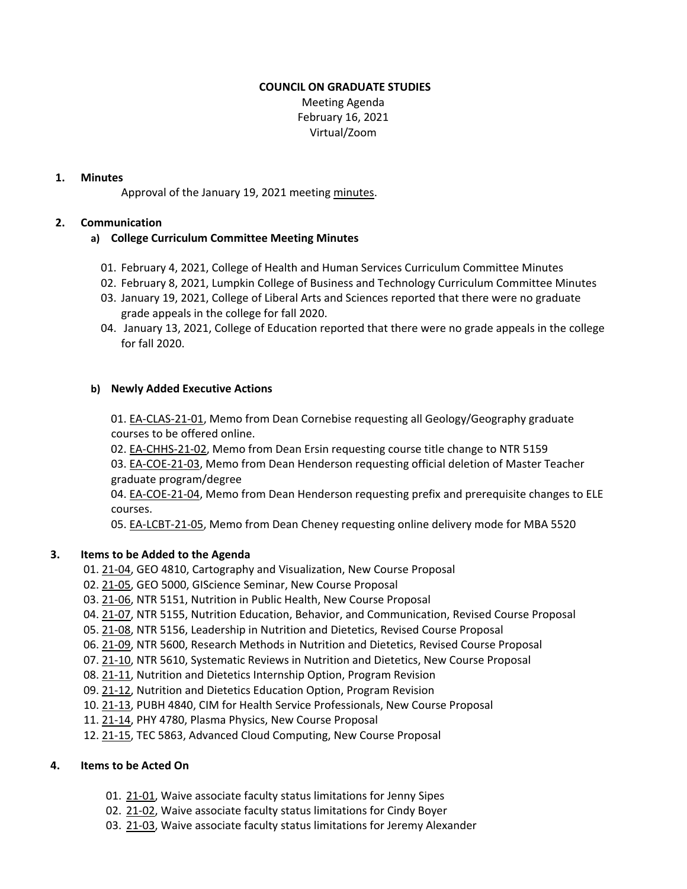## **COUNCIL ON GRADUATE STUDIES**

 Meeting Agenda February 16, 2021 Virtual/Zoom

## **1. Minutes**

Approval of the January 19, 2021 meeting [minutes.](https://castle.eiu.edu/~eiucgs/currentminutes/Minutes1-19-21.pdf)

## **2. Communication**

# **a) College Curriculum Committee Meeting Minutes**

- 01. February 4, 2021, College of Health and Human Services Curriculum Committee Minutes
- 02. February 8, 2021, Lumpkin College of Business and Technology Curriculum Committee Minutes
- 03. January 19, 2021, College of Liberal Arts and Sciences reported that there were no graduate grade appeals in the college for fall 2020.
- 04. January 13, 2021, College of Education reported that there were no grade appeals in the college for fall 2020.

## **b) Newly Added Executive Actions**

01. EA‐[CLAS](https://castle.eiu.edu/eiucgs/exec-actions/EA-CLAS-21-01.pdf)‐21‐01, Memo from Dean Cornebise requesting all Geology/Geography graduate courses to be offered online.

02. EA-[CHHS](https://castle.eiu.edu/eiucgs/exec-actions/EA-CHHS-21-02.pdf)-21-02, Memo from Dean Ersin requesting course title change to NTR 5159 03. EA‐[COE](https://castle.eiu.edu/eiucgs/exec-actions/EA-COE-21-03.pdf)‐21‐03, Memo from Dean Henderson requesting official deletion of Master Teacher graduate program/degree

04. EA-[COE](https://castle.eiu.edu/eiucgs/exec-actions/EA-COE-21-04.pdf)-21-04, Memo from Dean Henderson requesting prefix and prerequisite changes to ELE courses.

05. EA‐[LCBT](https://castle.eiu.edu/eiucgs/exec-actions/EA-LCBT-21-05.pdf)‐21‐05, Memo from Dean Cheney requesting online delivery mode for MBA 5520

#### **3. Items to be Added to the Agenda**

- 01. 21‐[04,](https://castle.eiu.edu/eiucgs/currentagendaitems/agenda21-04.pdf) GEO 4810, Cartography and Visualization, New Course Proposal
- 02. 21‐[05,](https://castle.eiu.edu/eiucgs/currentagendaitems/agenda21-05.pdf) GEO 5000, GIScience Seminar, New Course Proposal
- 03. 21‐[06,](https://castle.eiu.edu/eiucgs/currentagendaitems/agenda21-06.pdf) NTR 5151, Nutrition in Public Health, New Course Proposal
- 04. 21-[07,](https://castle.eiu.edu/eiucgs/currentagendaitems/agenda21-07.pdf) NTR 5155, Nutrition Education, Behavior, and Communication, Revised Course Proposal
- 05. 21-[08,](https://castle.eiu.edu/eiucgs/currentagendaitems/agenda21-08.pdf) NTR 5156, Leadership in Nutrition and Dietetics, Revised Course Proposal
- 06. 21‐[09,](https://castle.eiu.edu/eiucgs/currentagendaitems/agenda21-09.pdf) NTR 5600, Research Methods in Nutrition and Dietetics, Revised Course Proposal
- 07. 21‐[10,](https://castle.eiu.edu/eiucgs/currentagendaitems/agenda21-10.pdf) NTR 5610, Systematic Reviews in Nutrition and Dietetics, New Course Proposal
- 08. 21‐[11,](https://castle.eiu.edu/eiucgs/currentagendaitems/agenda21-11.pdf) Nutrition and Dietetics Internship Option, Program Revision
- 09. 21‐[12,](https://castle.eiu.edu/eiucgs/currentagendaitems/agenda21-12.pdf) Nutrition and Dietetics Education Option, Program Revision
- 10. 21‐[13,](https://castle.eiu.edu/eiucgs/currentagendaitems/agenda21-13.pdf) PUBH 4840, CIM for Health Service Professionals, New Course Proposal
- 11. 21‐[14,](https://castle.eiu.edu/eiucgs/currentagendaitems/agenda21-14.pdf) PHY 4780, Plasma Physics, New Course Proposal
- 12. 21-[15,](https://castle.eiu.edu/eiucgs/currentagendaitems/agenda21-15.pdf) TEC 5863, Advanced Cloud Computing, New Course Proposal

# **4. Items to be Acted On**

- [01](https://castle.eiu.edu/eiucgs/currentagendaitems/agenda21-01.pdf). 21-01, Waive associate faculty status limitations for Jenny Sipes
- 02. [21](https://castle.eiu.edu/eiucgs/currentagendaitems/agenda21-02.pdf)‐02, Waive associate faculty status limitations for Cindy Boyer
- [03](https://castle.eiu.edu/eiucgs/currentagendaitems/agenda21-03.pdf). 21-03, Waive associate faculty status limitations for Jeremy Alexander